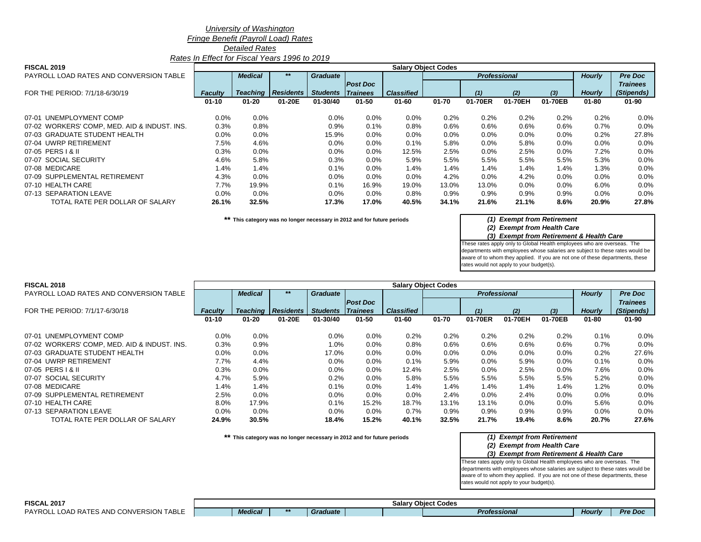### *University of Washington*

*Fringe Benefit (Payroll Load) Rates*

*Detailed Rates*

*Rates In Effect for Fiscal Years 1996 to 2019*

| <b>FISCAL 2019</b>                           | <b>Salary Object Codes</b> |                |                           |                 |                  |                   |           |                     |         |         |               |                 |
|----------------------------------------------|----------------------------|----------------|---------------------------|-----------------|------------------|-------------------|-----------|---------------------|---------|---------|---------------|-----------------|
| PAYROLL LOAD RATES AND CONVERSION TABLE      |                            | <b>Medical</b> | $***$                     | <b>Graduate</b> |                  |                   |           | <b>Professional</b> |         |         | <b>Hourly</b> | <b>Pre Doc</b>  |
|                                              |                            |                |                           |                 | <b>Post Doc</b>  |                   |           |                     |         |         |               | <b>Trainees</b> |
| FOR THE PERIOD: 7/1/18-6/30/19               | <b>Faculty</b>             |                | <b>Teaching Residents</b> | <b>Students</b> | $\vert$ Trainees | <b>Classified</b> |           | (1)                 | (2)     | $(3)$   | <b>Hourly</b> | (Stipends)      |
|                                              | $01 - 10$                  | $01 - 20$      | 01-20E                    | 01-30/40        | $01 - 50$        | $01 - 60$         | $01 - 70$ | 01-70ER             | 01-70EH | 01-70EB | $01 - 80$     | $01 - 90$       |
| 07-01 UNEMPLOYMENT COMP                      | 0.0%                       | 0.0%           |                           | 0.0%            | $0.0\%$          | 0.0%              | 0.2%      | 0.2%                | 0.2%    | 0.2%    | 0.2%          | 0.0%            |
| 07-02 WORKERS' COMP, MED. AID & INDUST. INS. | 0.3%                       | 0.8%           |                           | 0.9%            | $0.1\%$          | 0.8%              | 0.6%      | 0.6%                | 0.6%    | 0.6%    | 0.7%          | 0.0%            |
| 07-03 GRADUATE STUDENT HEALTH                | $0.0\%$                    | 0.0%           |                           | 15.9%           | $0.0\%$          | 0.0%              | 0.0%      | 0.0%                | $0.0\%$ | $0.0\%$ | 0.2%          | 27.8%           |
| 07-04 UWRP RETIREMENT                        | 7.5%                       | 4.6%           |                           | $0.0\%$         | $0.0\%$          | 0.1%              | 5.8%      | $0.0\%$             | 5.8%    | 0.0%    | $0.0\%$       | 0.0%            |
| 07-05 PERS   & II                            | 0.3%                       | 0.0%           |                           | 0.0%            | $0.0\%$          | 12.5%             | 2.5%      | 0.0%                | 2.5%    | $0.0\%$ | 7.2%          | 0.0%            |
| 07-07 SOCIAL SECURITY                        | 4.6%                       | 5.8%           |                           | 0.3%            | $0.0\%$          | 5.9%              | 5.5%      | 5.5%                | 5.5%    | 5.5%    | 5.3%          | 0.0%            |
| 07-08 MEDICARE                               | 1.4%                       | 1.4%           |                           | 0.1%            | $0.0\%$          | 1.4%              | 1.4%      | $1.4\%$             | 1.4%    | 1.4%    | $1.3\%$       | 0.0%            |
| 07-09 SUPPLEMENTAL RETIREMENT                | 4.3%                       | 0.0%           |                           | $0.0\%$         | $0.0\%$          | 0.0%              | 4.2%      | $0.0\%$             | 4.2%    | $0.0\%$ | $0.0\%$       | 0.0%            |
| 07-10 HEALTH CARE                            | 7.7%                       | 19.9%          |                           | 0.1%            | 16.9%            | 19.0%             | 13.0%     | 13.0%               | 0.0%    | 0.0%    | 6.0%          | 0.0%            |
| 07-13 SEPARATION LEAVE                       | 0.0%                       | 0.0%           |                           | $0.0\%$         | $0.0\%$          | 0.8%              | 0.9%      | 0.9%                | 0.9%    | 0.9%    | $0.0\%$       | 0.0%            |
| TOTAL RATE PER DOLLAR OF SALARY              | 26.1%                      | 32.5%          |                           | 17.3%           | 17.0%            | 40.5%             | 34.1%     | 21.6%               | 21.1%   | 8.6%    | 20.9%         | 27.8%           |

**\*\* This category was no longer necessary in 2012 and for future periods** *(1) Exempt from Retirement*

*(2) Exempt from Health Care*

*(3) Exempt from Retirement & Health Care*

These rates apply only to Global Health employees who are overseas. The departments with employees whose salaries are subject to these rates would be aware of to whom they applied. If you are not one of these departments, these rates would not apply to your budget(s).

| <b>FISCAL 2018</b>                           |                |                |                  |                 |                  |                   | <b>Salary Object Codes</b> |                     |         |         |               |                 |
|----------------------------------------------|----------------|----------------|------------------|-----------------|------------------|-------------------|----------------------------|---------------------|---------|---------|---------------|-----------------|
| PAYROLL LOAD RATES AND CONVERSION TABLE      |                | <b>Medical</b> | $***$            | <b>Graduate</b> |                  |                   |                            | <b>Professional</b> |         |         | <b>Hourly</b> | <b>Pre Doc</b>  |
|                                              |                |                |                  |                 | <b>Post Doc</b>  |                   |                            |                     |         |         |               | <b>Trainees</b> |
| FOR THE PERIOD: 7/1/17-6/30/18               | <b>Faculty</b> | Teaching       | <b>Residents</b> | <b>Students</b> | $\vert$ Trainees | <b>Classified</b> |                            | (1)                 | (2)     | $(3)$   | <b>Hourly</b> | (Stipends)      |
|                                              | $01 - 10$      | $01 - 20$      | 01-20E           | 01-30/40        | $01 - 50$        | $01 - 60$         | $01 - 70$                  | 01-70ER             | 01-70EH | 01-70EB | $01 - 80$     | $01 - 90$       |
| 07-01 UNEMPLOYMENT COMP                      | $0.0\%$        | 0.0%           |                  | $0.0\%$         | $0.0\%$          | 0.2%              | $0.2\%$                    | 0.2%                | 0.2%    | 0.2%    | $0.1\%$       | $0.0\%$         |
| 07-02 WORKERS' COMP, MED. AID & INDUST. INS. | 0.3%           | 0.9%           |                  | $1.0\%$         | $0.0\%$          | 0.8%              | 0.6%                       | 0.6%                | $0.6\%$ | 0.6%    | 0.7%          | $0.0\%$         |
| 07-03 GRADUATE STUDENT HEALTH                | 0.0%           | 0.0%           |                  | 17.0%           | $0.0\%$          | 0.0%              | 0.0%                       | $0.0\%$             | $0.0\%$ | $0.0\%$ | 0.2%          | 27.6%           |
| 07-04 UWRP RETIREMENT                        | 7.7%           | 4.4%           |                  | $0.0\%$         | $0.0\%$          | 0.1%              | 5.9%                       | 0.0%                | 5.9%    | $0.0\%$ | 0.1%          | $0.0\%$         |
| 07-05 PERS   & II                            | 0.3%           | 0.0%           |                  | $0.0\%$         | $0.0\%$          | 12.4%             | 2.5%                       | 0.0%                | 2.5%    | 0.0%    | 7.6%          | $0.0\%$         |
| 07-07 SOCIAL SECURITY                        | 4.7%           | 5.9%           |                  | 0.2%            | $0.0\%$          | 5.8%              | 5.5%                       | 5.5%                | 5.5%    | 5.5%    | 5.2%          | 0.0%            |
| 07-08 MEDICARE                               | 1.4%           | 1.4%           |                  | 0.1%            | $0.0\%$          | 1.4%              | 1.4%                       | 1.4%                | 1.4%    | 1.4%    | 1.2%          | 0.0%            |
| 07-09 SUPPLEMENTAL RETIREMENT                | 2.5%           | 0.0%           |                  | $0.0\%$         | $0.0\%$          | 0.0%              | 2.4%                       | $0.0\%$             | 2.4%    | $0.0\%$ | 0.0%          | $0.0\%$         |
| 07-10 HEALTH CARE                            | 8.0%           | 17.9%          |                  | 0.1%            | 15.2%            | 18.7%             | 13.1%                      | 13.1%               | $0.0\%$ | $0.0\%$ | 5.6%          | $0.0\%$         |
| 07-13 SEPARATION LEAVE                       | 0.0%           | 0.0%           |                  | $0.0\%$         | $0.0\%$          | 0.7%              | 0.9%                       | 0.9%                | 0.9%    | 0.9%    | $0.0\%$       | 0.0%            |
| TOTAL RATE PER DOLLAR OF SALARY              | 24.9%          | 30.5%          |                  | 18.4%           | 15.2%            | 40.1%             | 32.5%                      | 21.7%               | 19.4%   | 8.6%    | 20.7%         | 27.6%           |

**\*\* This category was no longer necessary in 2012 and for future periods** *(1) Exempt from Retirement*

# *(2) Exempt from Health Care*

#### *(3) Exempt from Retirement & Health Care*

|                |       |          | Salary | <b>Object</b><br><b>Codes</b> |               |            |
|----------------|-------|----------|--------|-------------------------------|---------------|------------|
| <b>Medical</b> | $***$ | Graduate |        | Professional                  | <b>Hourly</b> | Doc<br>Pre |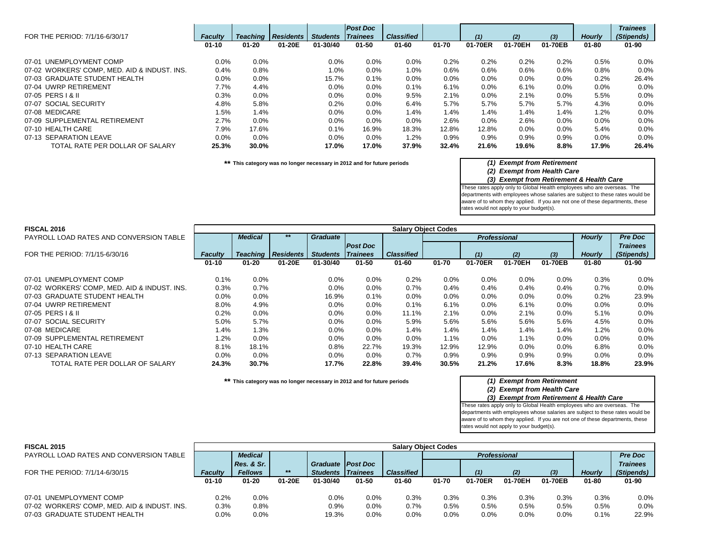| FOR THE PERIOD: 7/1/16-6/30/17               | <b>Faculty</b> | <b>Teaching</b> | <b>Residents</b> | <b>Students</b> | <b>Post Doc</b><br><b>Trainees</b> | <b>Classified</b> |         | (1)     | (2)     | (3)     | <b>Hourly</b> | <b>Trainees</b><br>(Stipends) |
|----------------------------------------------|----------------|-----------------|------------------|-----------------|------------------------------------|-------------------|---------|---------|---------|---------|---------------|-------------------------------|
|                                              | $01 - 10$      | $01 - 20$       | 01-20E           | 01-30/40        | $01 - 50$                          | $01 - 60$         | 01-70   | 01-70ER | 01-70EH | 01-70EB | $01 - 80$     | $01 - 90$                     |
| 07-01 UNEMPLOYMENT COMP                      | $0.0\%$        | 0.0%            |                  | $0.0\%$         | $0.0\%$                            | $0.0\%$           | 0.2%    | 0.2%    | $0.2\%$ | 0.2%    | 0.5%          | $0.0\%$                       |
| 07-02 WORKERS' COMP, MED. AID & INDUST. INS. | 0.4%           | 0.8%            |                  | $1.0\%$         | $0.0\%$                            | 1.0%              | $0.6\%$ | $0.6\%$ | 0.6%    | 0.6%    | 0.8%          | $0.0\%$                       |
| 07-03 GRADUATE STUDENT HEALTH                | $0.0\%$        | 0.0%            |                  | 15.7%           | 0.1%                               | 0.0%              | $0.0\%$ | $0.0\%$ | $0.0\%$ | 0.0%    | 0.2%          | 26.4%                         |
| 07-04 UWRP RETIREMENT                        | 7.7%           | 4.4%            |                  | 0.0%            | 0.0%                               | 0.1%              | 6.1%    | 0.0%    | 6.1%    | 0.0%    | 0.0%          | $0.0\%$                       |
| 07-05 PERS   & II                            | 0.3%           | 0.0%            |                  | 0.0%            | 0.0%                               | 9.5%              | 2.1%    | 0.0%    | 2.1%    | 0.0%    | 5.5%          | $0.0\%$                       |
| 07-07 SOCIAL SECURITY                        | 4.8%           | 5.8%            |                  | 0.2%            | 0.0%                               | 6.4%              | 5.7%    | 5.7%    | 5.7%    | 5.7%    | 4.3%          | 0.0%                          |
| 07-08 MEDICARE                               | 1.5%           | 1.4%            |                  | $0.0\%$         | 0.0%                               | 1.4%              | 1.4%    | 1.4%    | 1.4%    | 1.4%    | 1.2%          | $0.0\%$                       |
| 07-09 SUPPLEMENTAL RETIREMENT                | 2.7%           | $0.0\%$         |                  | $0.0\%$         | $0.0\%$                            | 0.0%              | 2.6%    | $0.0\%$ | 2.6%    | $0.0\%$ | $0.0\%$       | $0.0\%$                       |
| 07-10 HEALTH CARE                            | 7.9%           | 17.6%           |                  | $0.1\%$         | 16.9%                              | 18.3%             | 12.8%   | 12.8%   | $0.0\%$ | $0.0\%$ | 5.4%          | $0.0\%$                       |
| 07-13 SEPARATION LEAVE                       | $0.0\%$        | 0.0%            |                  | $0.0\%$         | 0.0%                               | 1.2%              | 0.9%    | 0.9%    | 0.9%    | 0.9%    | 0.0%          | 0.0%                          |
| TOTAL RATE PER DOLLAR OF SALARY              | 25.3%          | 30.0%           |                  | 17.0%           | 17.0%                              | 37.9%             | 32.4%   | 21.6%   | 19.6%   | 8.8%    | 17.9%         | 26.4%                         |

**\*\* This category was no longer necessary in 2012 and for future periods** *(1) Exempt from Retirement*

# *(2) Exempt from Health Care*

### *(3) Exempt from Retirement & Health Care*

These rates apply only to Global Health employees who are overseas. The departments with employees whose salaries are subject to these rates would be aware of to whom they applied. If you are not one of these departments, these rates would not apply to your budget(s).

| <b>FISCAL 2016</b>                           |                |                |                             |                 |                  |                   | <b>Salary Object Codes</b> |                     |         |         |               |                 |
|----------------------------------------------|----------------|----------------|-----------------------------|-----------------|------------------|-------------------|----------------------------|---------------------|---------|---------|---------------|-----------------|
| PAYROLL LOAD RATES AND CONVERSION TABLE      |                | <b>Medical</b> |                             | <b>Graduate</b> |                  |                   |                            | <b>Professional</b> |         |         | <b>Hourly</b> | <b>Pre Doc</b>  |
|                                              |                |                |                             |                 | <b>Post Doc</b>  |                   |                            |                     |         |         |               | <b>Trainees</b> |
| FOR THE PERIOD: 7/1/15-6/30/16               | <b>Faculty</b> |                | <b>Teaching   Residents</b> | <b>Students</b> | $\vert$ Trainees | <b>Classified</b> |                            | (1)                 | (2)     | $(3)$   | <b>Hourly</b> | (Stipends)      |
|                                              | $01 - 10$      | $01 - 20$      | 01-20E                      | 01-30/40        | $01 - 50$        | $01 - 60$         | $01 - 70$                  | 01-70ER             | 01-70EH | 01-70EB | $01 - 80$     | $01 - 90$       |
|                                              |                |                |                             |                 |                  |                   |                            |                     |         |         |               |                 |
| 07-01 UNEMPLOYMENT COMP                      | $0.1\%$        | 0.0%           |                             | $0.0\%$         | $0.0\%$          | 0.2%              | $0.0\%$                    | $0.0\%$             | $0.0\%$ | 0.0%    | 0.3%          | 0.0%            |
| 07-02 WORKERS' COMP, MED. AID & INDUST. INS. | 0.3%           | 0.7%           |                             | $0.0\%$         | $0.0\%$          | 0.7%              | 0.4%                       | 0.4%                | 0.4%    | 0.4%    | 0.7%          | 0.0%            |
| 07-03 GRADUATE STUDENT HEALTH                | $0.0\%$        | 0.0%           |                             | 16.9%           | 0.1%             | $0.0\%$           | $0.0\%$                    | $0.0\%$             | $0.0\%$ | 0.0%    | 0.2%          | 23.9%           |
| 07-04 UWRP RETIREMENT                        | 8.0%           | 4.9%           |                             | 0.0%            | $0.0\%$          | 0.1%              | 6.1%                       | $0.0\%$             | 6.1%    | 0.0%    | $0.0\%$       | 0.0%            |
| 07-05 PERS   & II                            | 0.2%           | 0.0%           |                             | 0.0%            | $0.0\%$          | 11.1%             | 2.1%                       | 0.0%                | 2.1%    | 0.0%    | 5.1%          | 0.0%            |
| 07-07 SOCIAL SECURITY                        | 5.0%           | 5.7%           |                             | 0.0%            | $0.0\%$          | 5.9%              | 5.6%                       | 5.6%                | 5.6%    | 5.6%    | 4.5%          | 0.0%            |
| 07-08 MEDICARE                               | 1.4%           | 1.3%           |                             | 0.0%            | $0.0\%$          | 1.4%              | 1.4%                       | 1.4%                | 1.4%    | 1.4%    | 1.2%          | 0.0%            |
| 07-09 SUPPLEMENTAL RETIREMENT                | 1.2%           | 0.0%           |                             | $0.0\%$         | $0.0\%$          | $0.0\%$           | 1.1%                       | 0.0%                | 1.1%    | 0.0%    | 0.0%          | 0.0%            |
| 07-10 HEALTH CARE                            | 8.1%           | 18.1%          |                             | $0.8\%$         | 22.7%            | 19.3%             | 12.9%                      | 12.9%               | $0.0\%$ | 0.0%    | 6.8%          | 0.0%            |
| 07-13 SEPARATION LEAVE                       | $0.0\%$        | 0.0%           |                             | 0.0%            | $0.0\%$          | 0.7%              | $0.9\%$                    | 0.9%                | 0.9%    | 0.9%    | $0.0\%$       | 0.0%            |
| TOTAL RATE PER DOLLAR OF SALARY              | 24.3%          | 30.7%          |                             | 17.7%           | 22.8%            | 39.4%             | 30.5%                      | 21.2%               | 17.6%   | 8.3%    | 18.8%         | 23.9%           |

**\*\* This category was no longer necessary in 2012 and for future periods** *(1) Exempt from Retirement*

# *(2) Exempt from Health Care*

*(3) Exempt from Retirement & Health Care*

| <b>FISCAL 2015</b>                           |                |                |        |                     |                  |                   | <b>Salary Object Codes</b> |                     |         |         |               |                 |
|----------------------------------------------|----------------|----------------|--------|---------------------|------------------|-------------------|----------------------------|---------------------|---------|---------|---------------|-----------------|
| PAYROLL LOAD RATES AND CONVERSION TABLE      |                | <b>Medical</b> |        |                     |                  |                   |                            | <b>Professional</b> |         |         |               | <b>Pre Doc</b>  |
|                                              |                | Res. & Sr.     |        | Graduate   Post Doc |                  |                   |                            |                     |         |         |               | <b>Trainees</b> |
| FOR THE PERIOD: 7/1/14-6/30/15               | <b>Faculty</b> | <b>Fellows</b> | $***$  | <b>Students</b>     | $\vert$ Trainees | <b>Classified</b> |                            | (1)                 | (2)     | (3)     | <b>Hourly</b> | (Stipends)      |
|                                              | $01 - 10$      | $01 - 20$      | 01-20E | 01-30/40            | 01-50            | 01-60             | $01 - 70$                  | 01-70ER             | 01-70EH | 01-70EB | 01-80         | $01 - 90$       |
|                                              |                |                |        |                     |                  |                   |                            |                     |         |         |               |                 |
| 07-01 UNEMPLOYMENT COMP                      | 0.2%           | $0.0\%$        |        | $0.0\%$             | $0.0\%$          | 0.3%              | 0.3%                       | 0.3%                | $0.3\%$ | 0.3%    | 0.3%          | 0.0%            |
| 07-02 WORKERS' COMP, MED. AID & INDUST. INS. | 0.3%           | 0.8%           |        | 0.9%                | $0.0\%$          | 0.7%              | 0.5%                       | 0.5%                | 0.5%    | 0.5%    | 0.5%          | 0.0%            |
| 07-03 GRADUATE STUDENT HEALTH                | 0.0%           | 0.0%           |        | 19.3%               | 0.0%             | 0.0%              | $0.0\%$                    | $0.0\%$             | 0.0%    | 0.0%    | 0.1%          | 22.9%           |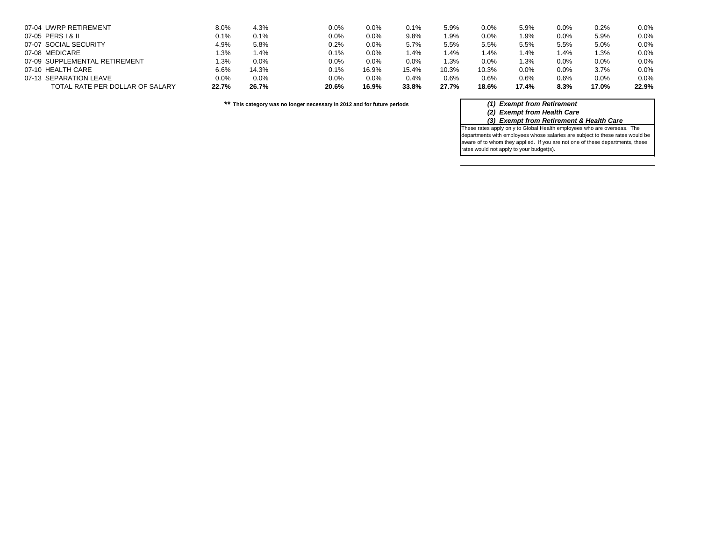| 07-04 UWRP RETIREMENT           | 8.0%    | 4.3%    | 0.0%    | 0.0%    | 0.1%    | 5.9%  | 0.0%  | 5.9%    | 0.0% | 0.2%    | 0.0%  |
|---------------------------------|---------|---------|---------|---------|---------|-------|-------|---------|------|---------|-------|
| 07-05 PERS   & II               | 0.1%    | 0.1%    | 0.0%    | $0.0\%$ | 9.8%    | 1.9%  | 0.0%  | 1.9%    | 0.0% | 5.9%    | 0.0%  |
| 07-07 SOCIAL SECURITY           | 4.9%    | 5.8%    | $0.2\%$ | $0.0\%$ | 5.7%    | 5.5%  | 5.5%  | 5.5%    | 5.5% | $5.0\%$ | 0.0%  |
| 07-08 MEDICARE                  | $1.3\%$ | l.4%    | 0.1%    | $0.0\%$ | $1.4\%$ | 1.4%  | l.4%  | 1.4%    | 4%.ا | 1.3%    | 0.0%  |
| 07-09 SUPPLEMENTAL RETIREMENT   | $1.3\%$ | $0.0\%$ | $0.0\%$ | $0.0\%$ | 0.0%    | 1.3%  | 0.0%  | $1.3\%$ | 0.0% | 0.0%    | 0.0%  |
| 07-10 HEALTH CARE               | 6.6%    | 14.3%   | $0.1\%$ | 16.9%   | 15.4%   | 10.3% | 10.3% | 0.0%    | 0.0% | 3.7%    | 0.0%  |
| 07-13 SEPARATION LEAVE          | $0.0\%$ | $0.0\%$ | $0.0\%$ | $0.0\%$ | 0.4%    | 0.6%  | 0.6%  | 0.6%    | 0.6% | $0.0\%$ | 0.0%  |
| TOTAL RATE PER DOLLAR OF SALARY | 22.7%   | 26.7%   | 20.6%   | 16.9%   | 33.8%   | 27.7% | 18.6% | 17.4%   | 8.3% | 17.0%   | 22.9% |

**\*\* This category was no longer necessary in 2012 and for future periods** *(1) Exempt from Retirement*

*(2) Exempt from Health Care*

*(3) Exempt from Retirement & Health Care*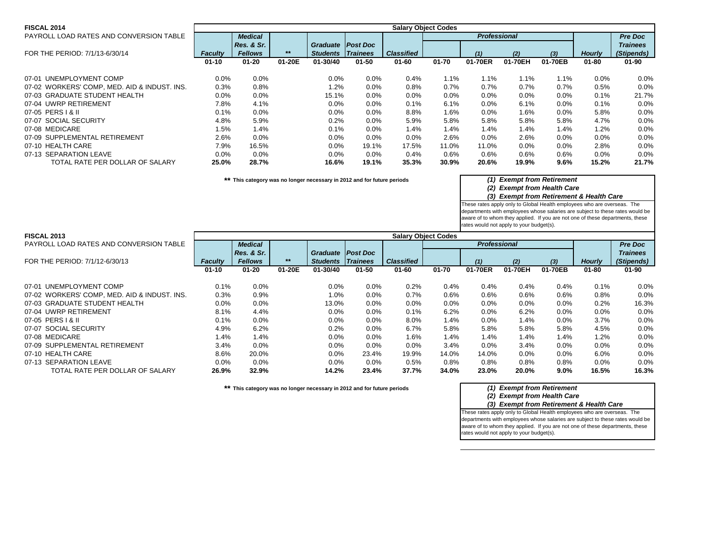| <b>FISCAL 2014</b>                           | <b>Salary Object Codes</b> |                |        |                 |                 |                   |           |                     |         |         |               |                 |
|----------------------------------------------|----------------------------|----------------|--------|-----------------|-----------------|-------------------|-----------|---------------------|---------|---------|---------------|-----------------|
| PAYROLL LOAD RATES AND CONVERSION TABLE      |                            | <b>Medical</b> |        |                 |                 |                   |           | <b>Professional</b> |         |         |               | <b>Pre Doc</b>  |
|                                              |                            | Res. & Sr.     |        | <b>Graduate</b> | <b>Post Doc</b> |                   |           |                     |         |         |               | <b>Trainees</b> |
| FOR THE PERIOD: 7/1/13-6/30/14               | <b>Faculty</b>             | <b>Fellows</b> | $***$  | <b>Students</b> | $ $ Trainees    | <b>Classified</b> |           | (1)                 | (2)     | $(3)$   | <b>Hourly</b> | (Stipends)      |
|                                              | $01 - 10$                  | $01 - 20$      | 01-20E | 01-30/40        | $01 - 50$       | $01 - 60$         | $01 - 70$ | 01-70ER             | 01-70EH | 01-70EB | $01 - 80$     | $01 - 90$       |
| 07-01 UNEMPLOYMENT COMP                      |                            |                |        |                 |                 |                   | $1.1\%$   |                     |         |         |               |                 |
|                                              | $0.0\%$                    | 0.0%           |        | 0.0%            | $0.0\%$         | 0.4%              |           | 1.1%                | 1.1%    | $1.1\%$ | 0.0%          | 0.0%            |
| 07-02 WORKERS' COMP, MED. AID & INDUST. INS. | 0.3%                       | 0.8%           |        | 1.2%            | $0.0\%$         | 0.8%              | 0.7%      | $0.7\%$             | 0.7%    | 0.7%    | 0.5%          | 0.0%            |
| 07-03 GRADUATE STUDENT HEALTH                | 0.0%                       | 0.0%           |        | 15.1%           | $0.0\%$         | 0.0%              | $0.0\%$   | $0.0\%$             | 0.0%    | 0.0%    | 0.1%          | 21.7%           |
| 07-04 UWRP RETIREMENT                        | 7.8%                       | 4.1%           |        | 0.0%            | $0.0\%$         | 0.1%              | 6.1%      | $0.0\%$             | 6.1%    | 0.0%    | 0.1%          | 0.0%            |
| 07-05 PERS   & II                            | 0.1%                       | 0.0%           |        | $0.0\%$         | $0.0\%$         | 8.8%              | $1.6\%$   | $0.0\%$             | 1.6%    | 0.0%    | 5.8%          | 0.0%            |
| 07-07 SOCIAL SECURITY                        | 4.8%                       | 5.9%           |        | 0.2%            | $0.0\%$         | 5.9%              | 5.8%      | 5.8%                | 5.8%    | 5.8%    | 4.7%          | 0.0%            |
| 07-08 MEDICARE                               | 1.5%                       | 1.4%           |        | $0.1\%$         | $0.0\%$         | 1.4%              | 1.4%      | 1.4%                | 1.4%    | 1.4%    | 1.2%          | 0.0%            |
| 07-09 SUPPLEMENTAL RETIREMENT                | 2.6%                       | 0.0%           |        | 0.0%            | $0.0\%$         | 0.0%              | 2.6%      | $0.0\%$             | 2.6%    | $0.0\%$ | $0.0\%$       | 0.0%            |
| 07-10 HEALTH CARE                            | 7.9%                       | 16.5%          |        | $0.0\%$         | 19.1%           | 17.5%             | 11.0%     | 11.0%               | $0.0\%$ | $0.0\%$ | 2.8%          | 0.0%            |
| 07-13 SEPARATION LEAVE                       | 0.0%                       | $0.0\%$        |        | $0.0\%$         | $0.0\%$         | 0.4%              | $0.6\%$   | $0.6\%$             | 0.6%    | 0.6%    | $0.0\%$       | 0.0%            |
| TOTAL RATE PER DOLLAR OF SALARY              | 25.0%                      | 28.7%          |        | 16.6%           | 19.1%           | 35.3%             | 30.9%     | 20.6%               | 19.9%   | 9.6%    | 15.2%         | 21.7%           |

**\*\* This category was no longer necessary in 2012 and for future periods** *(1) Exempt from Retirement*

### *(2) Exempt from Health Care*

#### *(3) Exempt from Retirement & Health Care*

These rates apply only to Global Health employees who are overseas. The departments with employees whose salaries are subject to these rates would be aware of to whom they applied. If you are not one of these departments, these rates would not apply to your budget(s).

#### **FISCAL 2013**

| <b>FISCAL 2013</b>                           | <b>Salary Object Codes</b> |                |        |                     |                 |                   |           |                     |         |         |               |                 |
|----------------------------------------------|----------------------------|----------------|--------|---------------------|-----------------|-------------------|-----------|---------------------|---------|---------|---------------|-----------------|
| PAYROLL LOAD RATES AND CONVERSION TABLE      |                            | <b>Medical</b> |        |                     |                 |                   |           | <b>Professional</b> |         |         |               | <b>Pre Doc</b>  |
|                                              |                            | Res. & Sr.     |        | Graduate   Post Doc |                 |                   |           |                     |         |         |               | <b>Trainees</b> |
| FOR THE PERIOD: 7/1/12-6/30/13               | <b>Faculty</b>             | <b>Fellows</b> | $***$  | <b>Students</b>     | <i>Trainees</i> | <b>Classified</b> |           | (1)                 | (2)     | $(3)$   | <b>Hourly</b> | (Stipends)      |
|                                              | $01 - 10$                  | $01 - 20$      | 01-20E | 01-30/40            | 01-50           | $01 - 60$         | $01 - 70$ | 01-70ER             | 01-70EH | 01-70EB | $01 - 80$     | $01 - 90$       |
| 07-01 UNEMPLOYMENT COMP                      | $0.1\%$                    | 0.0%           |        | 0.0%                | $0.0\%$         | 0.2%              | $0.4\%$   | 0.4%                | $0.4\%$ | 0.4%    | 0.1%          | $0.0\%$         |
| 07-02 WORKERS' COMP, MED. AID & INDUST. INS. | $0.3\%$                    | 0.9%           |        | $1.0\%$             | $0.0\%$         | 0.7%              | $0.6\%$   | 0.6%                | 0.6%    | 0.6%    | 0.8%          | $0.0\%$         |
| 07-03 GRADUATE STUDENT HEALTH                | $0.0\%$                    | 0.0%           |        | 13.0%               | 0.0%            | $0.0\%$           | $0.0\%$   | 0.0%                | 0.0%    | 0.0%    | 0.2%          | 16.3%           |
| 07-04 UWRP RETIREMENT                        | 8.1%                       | 4.4%           |        | $0.0\%$             | $0.0\%$         | 0.1%              | 6.2%      | $0.0\%$             | 6.2%    | 0.0%    | $0.0\%$       | 0.0%            |
| 07-05 PERS   & II                            | 0.1%                       | 0.0%           |        | $0.0\%$             | $0.0\%$         | 8.0%              | 1.4%      | $0.0\%$             | 1.4%    | 0.0%    | 3.7%          | $0.0\%$         |
| 07-07 SOCIAL SECURITY                        | 4.9%                       | 6.2%           |        | 0.2%                | 0.0%            | 6.7%              | 5.8%      | 5.8%                | 5.8%    | 5.8%    | 4.5%          | 0.0%            |
| 07-08 MEDICARE                               | 1.4%                       | 1.4%           |        | 0.0%                | 0.0%            | 1.6%              | 1.4%      | 1.4%                | 1.4%    | 1.4%    | 1.2%          | 0.0%            |
| 07-09 SUPPLEMENTAL RETIREMENT                | 3.4%                       | 0.0%           |        | $0.0\%$             | $0.0\%$         | $0.0\%$           | 3.4%      | $0.0\%$             | 3.4%    | 0.0%    | $0.0\%$       | 0.0%            |
| 07-10 HEALTH CARE                            | 8.6%                       | 20.0%          |        | 0.0%                | 23.4%           | 19.9%             | 14.0%     | 14.0%               | 0.0%    | 0.0%    | 6.0%          | $0.0\%$         |
| 07-13 SEPARATION LEAVE                       | $0.0\%$                    | 0.0%           |        | $0.0\%$             | $0.0\%$         | 0.5%              | $0.8\%$   | 0.8%                | 0.8%    | 0.8%    | $0.0\%$       | 0.0%            |
| TOTAL RATE PER DOLLAR OF SALARY              | 26.9%                      | 32.9%          |        | 14.2%               | 23.4%           | 37.7%             | 34.0%     | 23.0%               | 20.0%   | 9.0%    | 16.5%         | 16.3%           |

**\*\* This category was no longer necessary in 2012 and for future periods** *(1) Exempt from Retirement*

*(2) Exempt from Health Care*

*(3) Exempt from Retirement & Health Care*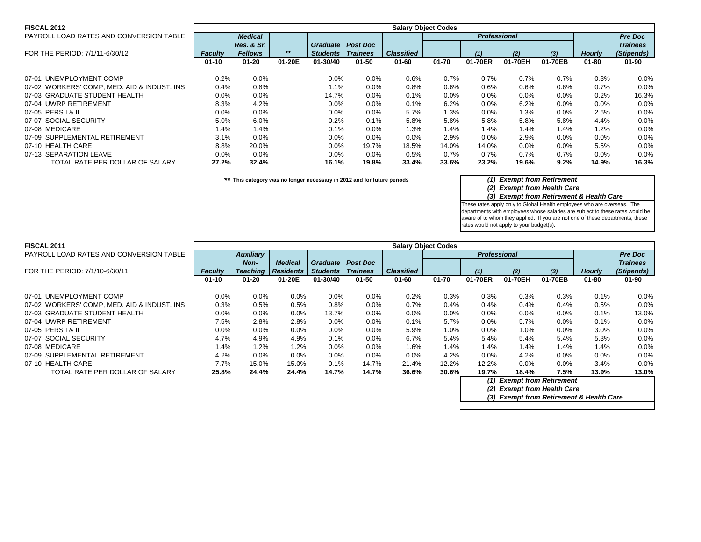| <b>FISCAL 2012</b>                           | <b>Salary Object Codes</b> |                |        |                          |                 |                   |           |                     |         |         |               |                 |
|----------------------------------------------|----------------------------|----------------|--------|--------------------------|-----------------|-------------------|-----------|---------------------|---------|---------|---------------|-----------------|
| PAYROLL LOAD RATES AND CONVERSION TABLE      |                            | <b>Medical</b> |        |                          |                 |                   |           | <b>Professional</b> |         |         |               | <b>Pre Doc</b>  |
|                                              |                            | Res. & Sr.     |        | <b>Graduate</b>          | <b>Post Doc</b> |                   |           |                     |         |         |               | <b>Trainees</b> |
| FOR THE PERIOD: 7/1/11-6/30/12               | <b>Faculty</b>             | <b>Fellows</b> | $***$  | <b>Students Trainees</b> |                 | <b>Classified</b> |           | (1)                 | (2)     | $(3)$   | <b>Hourly</b> | (Stipends)      |
|                                              | $01 - 10$                  | $01 - 20$      | 01-20E | 01-30/40                 | $01 - 50$       | $01 - 60$         | $01 - 70$ | 01-70ER             | 01-70EH | 01-70EB | $01 - 80$     | $01 - 90$       |
| 07-01 UNEMPLOYMENT COMP                      | 0.2%                       | 0.0%           |        | 0.0%                     | $0.0\%$         | 0.6%              | 0.7%      | 0.7%                | 0.7%    | 0.7%    | 0.3%          | 0.0%            |
| 07-02 WORKERS' COMP, MED. AID & INDUST. INS. | $0.4\%$                    | 0.8%           |        | $1.1\%$                  | $0.0\%$         | 0.8%              | $0.6\%$   | $0.6\%$             | 0.6%    | 0.6%    | 0.7%          | 0.0%            |
| 07-03 GRADUATE STUDENT HEALTH                | 0.0%                       | 0.0%           |        | 14.7%                    | $0.0\%$         | 0.1%              | $0.0\%$   | $0.0\%$             | 0.0%    | 0.0%    | 0.2%          | 16.3%           |
| 07-04 UWRP RETIREMENT                        | 8.3%                       | 4.2%           |        | 0.0%                     | $0.0\%$         | 0.1%              | 6.2%      | $0.0\%$             | 6.2%    | 0.0%    | $0.0\%$       | 0.0%            |
| 07-05 PERS   & II                            | $0.0\%$                    | 0.0%           |        | $0.0\%$                  | $0.0\%$         | 5.7%              | 1.3%      | $0.0\%$             | 1.3%    | 0.0%    | 2.6%          | 0.0%            |
| 07-07 SOCIAL SECURITY                        | 5.0%                       | 6.0%           |        | 0.2%                     | 0.1%            | 5.8%              | 5.8%      | 5.8%                | 5.8%    | 5.8%    | 4.4%          | 0.0%            |
| 07-08 MEDICARE                               | 1.4%                       | 1.4%           |        | $0.1\%$                  | $0.0\%$         | 1.3%              | 1.4%      | 1.4%                | 1.4%    | 1.4%    | 1.2%          | 0.0%            |
| 07-09 SUPPLEMENTAL RETIREMENT                | 3.1%                       | $0.0\%$        |        | 0.0%                     | $0.0\%$         | 0.0%              | 2.9%      | $0.0\%$             | 2.9%    | $0.0\%$ | $0.0\%$       | 0.0%            |
| 07-10 HEALTH CARE                            | 8.8%                       | 20.0%          |        | $0.0\%$                  | 19.7%           | 18.5%             | 14.0%     | 14.0%               | $0.0\%$ | $0.0\%$ | 5.5%          | 0.0%            |
| 07-13 SEPARATION LEAVE                       | $0.0\%$                    | $0.0\%$        |        | $0.0\%$                  | $0.0\%$         | 0.5%              | $0.7\%$   | $0.7\%$             | 0.7%    | 0.7%    | $0.0\%$       | 0.0%            |
| TOTAL RATE PER DOLLAR OF SALARY              | 27.2%                      | 32.4%          |        | 16.1%                    | 19.8%           | 33.4%             | 33.6%     | 23.2%               | 19.6%   | 9.2%    | 14.9%         | 16.3%           |

**\*\* This category was no longer necessary in 2012 and for future periods** *(1) Exempt from Retirement*

*(2) Exempt from Health Care*

*(3) Exempt from Retirement & Health Care*

These rates apply only to Global Health employees who are overseas. The departments with employees whose salaries are subject to these rates would be aware of to whom they applied. If you are not one of these departments, these rates would not apply to your budget(s).

| <b>FISCAL 2011</b> |  |
|--------------------|--|
|                    |  |

| PAYROLL LOAD RATES AND CONVERSION TABLE      |                | <b>Auxiliary</b> |                  |                 |                 |                   |           | <b>Professional</b> |                                                                 |         |               | <b>Pre Doc</b>  |
|----------------------------------------------|----------------|------------------|------------------|-----------------|-----------------|-------------------|-----------|---------------------|-----------------------------------------------------------------|---------|---------------|-----------------|
|                                              |                | Non-             | <b>Medical</b>   | Graduate II     | <b>Post Doc</b> |                   |           |                     |                                                                 |         |               | <b>Trainees</b> |
| FOR THE PERIOD: 7/1/10-6/30/11               | <b>Faculty</b> | <b>Teaching</b>  | <b>Residents</b> | <b>Students</b> | <b>Trainees</b> | <b>Classified</b> |           | (1)                 | (2)                                                             | $(3)$   | <b>Hourly</b> | (Stipends)      |
|                                              | $01 - 10$      | $01 - 20$        | 01-20E           | $01 - 30/40$    | $01 - 50$       | $01 - 60$         | $01 - 70$ | 01-70ER             | 01-70EH                                                         | 01-70EB | $01 - 80$     | $01 - 90$       |
| 07-01 UNEMPLOYMENT COMP                      | 0.0%           | 0.0%             | $0.0\%$          | $0.0\%$         | $0.0\%$         | 0.2%              | 0.3%      | 0.3%                | 0.3%                                                            | 0.3%    | $0.1\%$       | 0.0%            |
| 07-02 WORKERS' COMP, MED. AID & INDUST. INS. | 0.3%           | 0.5%             | 0.5%             | 0.8%            | $0.0\%$         | 0.7%              | 0.4%      | $0.4\%$             | 0.4%                                                            | 0.4%    | 0.5%          | 0.0%            |
| 07-03 GRADUATE STUDENT HEALTH                | $0.0\%$        | $0.0\%$          | $0.0\%$          | 13.7%           | $0.0\%$         | $0.0\%$           | $0.0\%$   | $0.0\%$             | $0.0\%$                                                         | $0.0\%$ | $0.1\%$       | 13.0%           |
| 07-04 UWRP RETIREMENT                        | 7.5%           | 2.8%             | 2.8%             | $0.0\%$         | $0.0\%$         | 0.1%              | 5.7%      | $0.0\%$             | 5.7%                                                            | $0.0\%$ | $0.1\%$       | 0.0%            |
| 07-05 PERS   & II                            | 0.0%           | 0.0%             | $0.0\%$          | $0.0\%$         | $0.0\%$         | 5.9%              | $1.0\%$   | $0.0\%$             | $1.0\%$                                                         | $0.0\%$ | $3.0\%$       | 0.0%            |
| 07-07 SOCIAL SECURITY                        | 4.7%           | 4.9%             | 4.9%             | 0.1%            | $0.0\%$         | 6.7%              | 5.4%      | 5.4%                | 5.4%                                                            | 5.4%    | 5.3%          | 0.0%            |
| 07-08 MEDICARE                               | 1.4%           | $1.2\%$          | $1.2\%$          | $0.0\%$         | $0.0\%$         | $1.6\%$           | 1.4%      | 1.4%                | 1.4%                                                            | 1.4%    | 1.4%          | 0.0%            |
| 07-09 SUPPLEMENTAL RETIREMENT                | 4.2%           | $0.0\%$          | $0.0\%$          | $0.0\%$         | $0.0\%$         | $0.0\%$           | 4.2%      | $0.0\%$             | 4.2%                                                            | 0.0%    | $0.0\%$       | 0.0%            |
| 07-10 HEALTH CARE                            | 7.7%           | 15.0%            | 15.0%            | $0.1\%$         | 14.7%           | 21.4%             | 12.2%     | 12.2%               | $0.0\%$                                                         | 0.0%    | 3.4%          | 0.0%            |
| TOTAL RATE PER DOLLAR OF SALARY              | 25.8%          | 24.4%            | 24.4%            | 14.7%           | 14.7%           | 36.6%             | 30.6%     | 19.7%               | 18.4%                                                           | 7.5%    | 13.9%         | 13.0%           |
|                                              |                |                  |                  |                 |                 |                   |           | (1)<br>(2)          | <b>Exempt from Retirement</b><br><b>Exempt from Health Care</b> |         |               |                 |

**Salary Object Codes**

*(3) Exempt from Retirement & Health Care*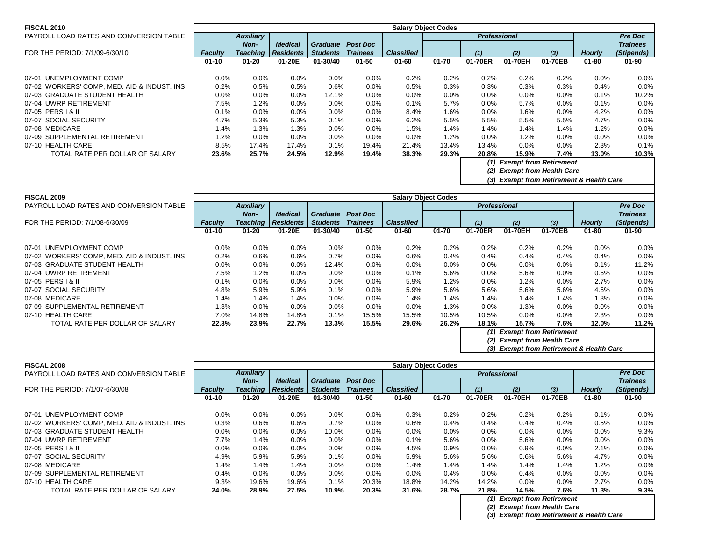| <b>FISCAL 2010</b>                           | <b>Salary Object Codes</b> |                  |                  |                     |                 |                   |           |                     |         |                               |               |                 |
|----------------------------------------------|----------------------------|------------------|------------------|---------------------|-----------------|-------------------|-----------|---------------------|---------|-------------------------------|---------------|-----------------|
| PAYROLL LOAD RATES AND CONVERSION TABLE      |                            | <b>Auxiliary</b> |                  |                     |                 |                   |           | <b>Professional</b> |         |                               |               | <b>Pre Doc</b>  |
|                                              |                            | Non-             | <b>Medical</b>   | Graduate   Post Doc |                 |                   |           |                     |         |                               |               | <b>Trainees</b> |
| FOR THE PERIOD: 7/1/09-6/30/10               | <b>Faculty</b>             | <b>Teaching</b>  | <b>Residents</b> | <b>Students</b>     | <b>Trainees</b> | <b>Classified</b> |           | (1)                 | (2)     | $(3)$                         | <b>Hourly</b> | (Stipends)      |
|                                              | $01 - 10$                  | $01 - 20$        | 01-20E           | 01-30/40            | $01 - 50$       | $01 - 60$         | $01 - 70$ | 01-70ER             | 01-70EH | 01-70EB                       | $01 - 80$     | $01 - 90$       |
| 07-01 UNEMPLOYMENT COMP                      | $0.0\%$                    | $0.0\%$          | $0.0\%$          | $0.0\%$             | $0.0\%$         | 0.2%              | 0.2%      | 0.2%                | 0.2%    | 0.2%                          | $0.0\%$       | 0.0%            |
| 07-02 WORKERS' COMP, MED. AID & INDUST. INS. | 0.2%                       | 0.5%             | 0.5%             | 0.6%                | 0.0%            | 0.5%              | 0.3%      | 0.3%                | 0.3%    | 0.3%                          | 0.4%          | 0.0%            |
| 07-03 GRADUATE STUDENT HEALTH                | 0.0%                       | 0.0%             | 0.0%             | 12.1%               | 0.0%            | 0.0%              | $0.0\%$   | $0.0\%$             | 0.0%    | $0.0\%$                       | 0.1%          | 10.2%           |
| 07-04 UWRP RETIREMENT                        | 7.5%                       | 1.2%             | $0.0\%$          | $0.0\%$             | 0.0%            | 0.1%              | 5.7%      | $0.0\%$             | 5.7%    | $0.0\%$                       | 0.1%          | 0.0%            |
| 07-05 PERS   & II                            | 0.1%                       | 0.0%             | $0.0\%$          | $0.0\%$             | $0.0\%$         | 8.4%              | $1.6\%$   | $0.0\%$             | 1.6%    | $0.0\%$                       | 4.2%          | 0.0%            |
| 07-07 SOCIAL SECURITY                        | 4.7%                       | 5.3%             | 5.3%             | $0.1\%$             | 0.0%            | 6.2%              | 5.5%      | 5.5%                | 5.5%    | 5.5%                          | 4.7%          | 0.0%            |
| 07-08 MEDICARE                               | 1.4%                       | $1.3\%$          | 1.3%             | $0.0\%$             | 0.0%            | 1.5%              | 1.4%      | 1.4%                | 1.4%    | 1.4%                          | 1.2%          | 0.0%            |
| 07-09 SUPPLEMENTAL RETIREMENT                | 1.2%                       | 0.0%             | $0.0\%$          | $0.0\%$             | 0.0%            | 0.0%              | 1.2%      | 0.0%                | 1.2%    | $0.0\%$                       | 0.0%          | 0.0%            |
| 07-10 HEALTH CARE                            | 8.5%                       | 17.4%            | 17.4%            | $0.1\%$             | 19.4%           | 21.4%             | 13.4%     | 13.4%               | $0.0\%$ | $0.0\%$                       | 2.3%          | 0.1%            |
| TOTAL RATE PER DOLLAR OF SALARY              | 23.6%                      | 25.7%            | 24.5%            | 12.9%               | 19.4%           | 38.3%             | 29.3%     | 20.8%               | 15.9%   | 7.4%                          | 13.0%         | 10.3%           |
|                                              |                            |                  |                  |                     |                 |                   |           | (1)                 |         | <b>Exempt from Retirement</b> |               |                 |

*(2) Exempt from Health Care*

*(3) Exempt from Retirement & Health Care*

| <b>FISCAL 2009</b>                           | <b>Salary Object Codes</b> |                  |                  |                 |                 |                   |           |                             |         |                                                         |               |                 |  |  |
|----------------------------------------------|----------------------------|------------------|------------------|-----------------|-----------------|-------------------|-----------|-----------------------------|---------|---------------------------------------------------------|---------------|-----------------|--|--|
| PAYROLL LOAD RATES AND CONVERSION TABLE      |                            | <b>Auxiliary</b> |                  |                 |                 |                   |           | <b>Professional</b>         |         |                                                         |               | <b>Pre Doc</b>  |  |  |
|                                              |                            | <b>Non-</b>      | <b>Medical</b>   | <b>Graduate</b> | <b>Post Doc</b> |                   |           |                             |         |                                                         |               | <b>Trainees</b> |  |  |
| FOR THE PERIOD: 7/1/08-6/30/09               | Faculty                    | <b>Teaching</b>  | <b>Residents</b> | <b>Students</b> | <i>Trainees</i> | <b>Classified</b> |           | (1)                         | (2)     | (3)                                                     | <b>Hourly</b> | (Stipends)      |  |  |
|                                              | $01 - 10$                  | $01 - 20$        | 01-20E           | 01-30/40        | $01 - 50$       | $01 - 60$         | $01 - 70$ | 01-70ER                     | 01-70EH | 01-70EB                                                 | $01 - 80$     | $01 - 90$       |  |  |
|                                              |                            |                  |                  |                 |                 |                   |           |                             |         |                                                         |               |                 |  |  |
| 07-01 UNEMPLOYMENT COMP                      | 0.0%                       | 0.0%             | 0.0%             | $0.0\%$         | $0.0\%$         | 0.2%              | 0.2%      | 0.2%                        | 0.2%    | 0.2%                                                    | 0.0%          | 0.0%            |  |  |
| 07-02 WORKERS' COMP, MED. AID & INDUST. INS. | 0.2%                       | 0.6%             | 0.6%             | 0.7%            | $0.0\%$         | 0.6%              | $0.4\%$   | $0.4\%$                     | 0.4%    | 0.4%                                                    | 0.4%          | 0.0%            |  |  |
| 07-03 GRADUATE STUDENT HEALTH                | 0.0%                       | 0.0%             | 0.0%             | 12.4%           | $0.0\%$         | $0.0\%$           | $0.0\%$   | $0.0\%$                     | $0.0\%$ | 0.0%                                                    | 0.1%          | 11.2%           |  |  |
| 07-04 UWRP RETIREMENT                        | 7.5%                       | 1.2%             | 0.0%             | $0.0\%$         | $0.0\%$         | 0.1%              | 5.6%      | 0.0%                        | 5.6%    | 0.0%                                                    | 0.6%          | 0.0%            |  |  |
| 07-05 PERS   & II                            | 0.1%                       | 0.0%             | 0.0%             | 0.0%            | $0.0\%$         | 5.9%              | 1.2%      | $0.0\%$                     | 1.2%    | 0.0%                                                    | 2.7%          | 0.0%            |  |  |
| 07-07 SOCIAL SECURITY                        | 4.8%                       | 5.9%             | 5.9%             | $0.1\%$         | $0.0\%$         | 5.9%              | 5.6%      | 5.6%                        | 5.6%    | 5.6%                                                    | 4.6%          | 0.0%            |  |  |
| 07-08 MEDICARE                               | 1.4%                       | 1.4%             | 1.4%             | $0.0\%$         | $0.0\%$         | 1.4%              | 1.4%      | $1.4\%$                     | 1.4%    | 1.4%                                                    | 1.3%          | 0.0%            |  |  |
| 07-09 SUPPLEMENTAL RETIREMENT                | 1.3%                       | 0.0%             | 0.0%             | $0.0\%$         | $0.0\%$         | $0.0\%$           | 1.3%      | $0.0\%$                     | 1.3%    | 0.0%                                                    | 0.0%          | 0.0%            |  |  |
| 07-10 HEALTH CARE                            | 7.0%                       | 14.8%            | 14.8%            | 0.1%            | 15.5%           | 15.5%             | 10.5%     | 10.5%                       | $0.0\%$ | 0.0%                                                    | 2.3%          | 0.0%            |  |  |
| TOTAL RATE PER DOLLAR OF SALARY              | 22.3%                      | 23.9%            | 22.7%            | 13.3%           | 15.5%           | 29.6%             | 26.2%     | 18.1%                       | 15.7%   | 7.6%                                                    | 12.0%         | 11.2%           |  |  |
|                                              |                            |                  |                  |                 |                 |                   |           | (1)                         |         | <b>Exempt from Retirement</b>                           |               |                 |  |  |
|                                              |                            |                  |                  |                 |                 |                   |           | (2) Exempt from Health Care |         |                                                         |               |                 |  |  |
|                                              |                            |                  |                  |                 |                 |                   |           |                             |         | (9) $F_{\text{reduced}}$ from Bottness of 0 Health Bars |               |                 |  |  |

*(3) Exempt from Retirement & Health Care*

| <b>FISCAL 2008</b>                           |                |                  |                  |                 |                 |                   | <b>Salary Object Codes</b> |                     |         |                               |               |                 |
|----------------------------------------------|----------------|------------------|------------------|-----------------|-----------------|-------------------|----------------------------|---------------------|---------|-------------------------------|---------------|-----------------|
| PAYROLL LOAD RATES AND CONVERSION TABLE      |                | <b>Auxiliary</b> |                  |                 |                 |                   |                            | <b>Professional</b> |         |                               |               | <b>Pre Doc</b>  |
|                                              |                | <b>Non-</b>      | <b>Medical</b>   | <b>Graduate</b> | Post Doc        |                   |                            |                     |         |                               |               | <b>Trainees</b> |
| FOR THE PERIOD: 7/1/07-6/30/08               | <b>Faculty</b> | <b>Teaching</b>  | <b>Residents</b> | <b>Students</b> | <i>Trainees</i> | <b>Classified</b> |                            | (1)                 | (2)     | $(3)$                         | <b>Hourly</b> | (Stipends)      |
|                                              | $01 - 10$      | $01 - 20$        | 01-20E           | 01-30/40        | $01 - 50$       | $01 - 60$         | $01 - 70$                  | 01-70ER             | 01-70EH | 01-70EB                       | $01 - 80$     | $01 - 90$       |
|                                              |                |                  |                  |                 |                 |                   |                            |                     |         |                               |               |                 |
| 07-01 UNEMPLOYMENT COMP                      | $0.0\%$        | $0.0\%$          | $0.0\%$          | $0.0\%$         | $0.0\%$         | 0.3%              | 0.2%                       | 0.2%                | 0.2%    | 0.2%                          | 0.1%          | 0.0%            |
| 07-02 WORKERS' COMP, MED. AID & INDUST. INS. | 0.3%           | 0.6%             | $0.6\%$          | $0.7\%$         | $0.0\%$         | 0.6%              | 0.4%                       | $0.4\%$             | $0.4\%$ | $0.4\%$                       | 0.5%          | 0.0%            |
| 07-03 GRADUATE STUDENT HEALTH                | $0.0\%$        | $0.0\%$          | $0.0\%$          | 10.0%           | $0.0\%$         | $0.0\%$           | $0.0\%$                    | $0.0\%$             | 0.0%    | $0.0\%$                       | $0.0\%$       | 9.3%            |
| 07-04 UWRP RETIREMENT                        | 7.7%           | 1.4%             | $0.0\%$          | $0.0\%$         | 0.0%            | 0.1%              | 5.6%                       | $0.0\%$             | 5.6%    | $0.0\%$                       | $0.0\%$       | 0.0%            |
| 07-05 PERS   & II                            | $0.0\%$        | 0.0%             | $0.0\%$          | 0.0%            | $0.0\%$         | 4.5%              | 0.9%                       | $0.0\%$             | 0.9%    | 0.0%                          | 2.1%          | 0.0%            |
| 07-07 SOCIAL SECURITY                        | 4.9%           | 5.9%             | 5.9%             | 0.1%            | $0.0\%$         | 5.9%              | 5.6%                       | 5.6%                | 5.6%    | 5.6%                          | 4.7%          | 0.0%            |
| 07-08 MEDICARE                               | 1.4%           | 1.4%             | 1.4%             | 0.0%            | $0.0\%$         | 1.4%              | 1.4%                       | 1.4%                | 1.4%    | 1.4%                          | 1.2%          | 0.0%            |
| 07-09 SUPPLEMENTAL RETIREMENT                | 0.4%           | $0.0\%$          | $0.0\%$          | $0.0\%$         | $0.0\%$         | $0.0\%$           | 0.4%                       | $0.0\%$             | $0.4\%$ | $0.0\%$                       | $0.0\%$       | 0.0%            |
| 07-10 HEALTH CARE                            | 9.3%           | 19.6%            | 19.6%            | $0.1\%$         | 20.3%           | 18.8%             | 14.2%                      | 14.2%               | $0.0\%$ | $0.0\%$                       | 2.7%          | 0.0%            |
| TOTAL RATE PER DOLLAR OF SALARY              | 24.0%          | 28.9%            | 27.5%            | 10.9%           | 20.3%           | 31.6%             | 28.7%                      | 21.8%               | 14.5%   | 7.6%                          | 11.3%         | 9.3%            |
|                                              |                |                  |                  |                 |                 |                   |                            | (1)                 |         | <b>Exempt from Retirement</b> |               |                 |

*(2) Exempt from Health Care*

*(3) Exempt from Retirement & Health Care*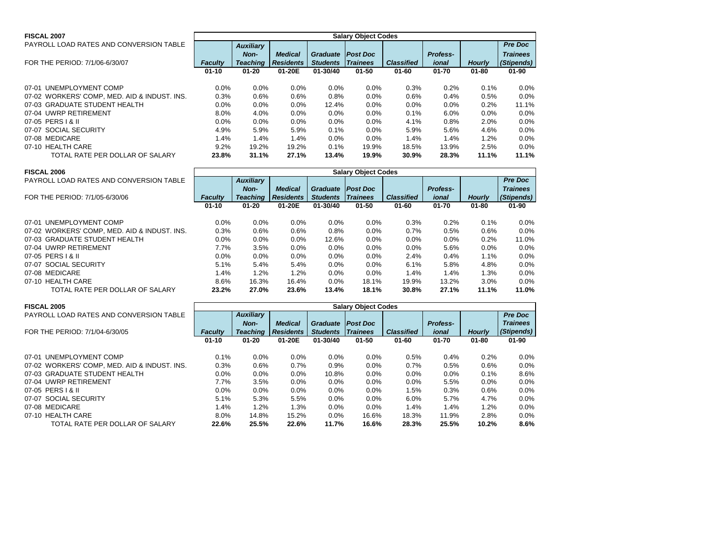| <b>FISCAL 2007</b>                           | <b>Salary Object Codes</b> |                  |                  |                 |                 |                   |                 |               |                 |  |  |
|----------------------------------------------|----------------------------|------------------|------------------|-----------------|-----------------|-------------------|-----------------|---------------|-----------------|--|--|
| PAYROLL LOAD RATES AND CONVERSION TABLE      |                            | <b>Auxiliary</b> |                  |                 |                 |                   |                 |               | <b>Pre Doc</b>  |  |  |
|                                              |                            | Non-             | <b>Medical</b>   | <b>Graduate</b> | <b>Post Doc</b> |                   | <b>Profess-</b> |               | <b>Trainees</b> |  |  |
| FOR THE PERIOD: 7/1/06-6/30/07               | <b>Faculty</b>             | Teaching         | <b>Residents</b> | <b>Students</b> | <b>Trainees</b> | <b>Classified</b> | ional           | <b>Hourly</b> | (Stipends)      |  |  |
|                                              | $01 - 10$                  | $01 - 20$        | 01-20E           | $01 - 30/40$    | $01 - 50$       | $01 - 60$         | $01 - 70$       | $01 - 80$     | $01 - 90$       |  |  |
|                                              |                            |                  |                  |                 |                 |                   |                 |               |                 |  |  |
| UNEMPLOYMENT COMP<br>07-01                   | $0.0\%$                    | $0.0\%$          | 0.0%             | $0.0\%$         | $0.0\%$         | 0.3%              | 0.2%            | 0.1%          | 0.0%            |  |  |
| 07-02 WORKERS' COMP, MED. AID & INDUST. INS. | 0.3%                       | 0.6%             | 0.6%             | 0.8%            | $0.0\%$         | 0.6%              | 0.4%            | 0.5%          | 0.0%            |  |  |
| 07-03 GRADUATE STUDENT HEALTH                | $0.0\%$                    | 0.0%             | $0.0\%$          | 12.4%           | $0.0\%$         | $0.0\%$           | 0.0%            | 0.2%          | 11.1%           |  |  |
| 07-04 UWRP RETIREMENT                        | 8.0%                       | 4.0%             | $0.0\%$          | $0.0\%$         | $0.0\%$         | 0.1%              | 6.0%            | 0.0%          | 0.0%            |  |  |
| 07-05 PERS   & II                            | $0.0\%$                    | $0.0\%$          | 0.0%             | 0.0%            | $0.0\%$         | 4.1%              | 0.8%            | 2.0%          | 0.0%            |  |  |
| 07-07 SOCIAL SECURITY                        | 4.9%                       | 5.9%             | 5.9%             | 0.1%            | $0.0\%$         | 5.9%              | 5.6%            | 4.6%          | 0.0%            |  |  |
| 07-08 MEDICARE                               | l.4%                       | 1.4%             | 1.4%             | 0.0%            | $0.0\%$         | 1.4%              | 1.4%            | 1.2%          | 0.0%            |  |  |

| <b>FISCAL 2006</b>                           |                |                  |                  |                 | <b>Salary Object Codes</b> |                   |                 |               |                 |
|----------------------------------------------|----------------|------------------|------------------|-----------------|----------------------------|-------------------|-----------------|---------------|-----------------|
| PAYROLL LOAD RATES AND CONVERSION TABLE      |                | <b>Auxiliary</b> |                  |                 |                            |                   |                 |               | <b>Pre Doc</b>  |
|                                              |                | Non-             | <b>Medical</b>   | <b>Graduate</b> | <b>Post Doc</b>            |                   | <b>Profess-</b> |               | <b>Trainees</b> |
| FOR THE PERIOD: 7/1/05-6/30/06               | <b>Faculty</b> | <b>Teaching</b>  | <b>Residents</b> | <b>Students</b> | <b>Trainees</b>            | <b>Classified</b> | ional           | <b>Hourly</b> | (Stipends)      |
|                                              | $01 - 10$      | $01 - 20$        | 01-20E           | 01-30/40        | $01 - 50$                  | $01 - 60$         | $01 - 70$       | $01 - 80$     | $01 - 90$       |
|                                              |                |                  |                  |                 |                            |                   |                 |               |                 |
| 07-01 UNEMPLOYMENT COMP                      | $0.0\%$        | $0.0\%$          | $0.0\%$          | $0.0\%$         | $0.0\%$                    | 0.3%              | 0.2%            | 0.1%          | $0.0\%$         |
| 07-02 WORKERS' COMP, MED. AID & INDUST. INS. | 0.3%           | 0.6%             | 0.6%             | 0.8%            | $0.0\%$                    | 0.7%              | 0.5%            | 0.6%          | $0.0\%$         |
| 07-03 GRADUATE STUDENT HEALTH                | $0.0\%$        | $0.0\%$          | $0.0\%$          | 12.6%           | $0.0\%$                    | $0.0\%$           | 0.0%            | 0.2%          | 11.0%           |
| 07-04 UWRP RETIREMENT                        | 7.7%           | 3.5%             | $0.0\%$          | $0.0\%$         | $0.0\%$                    | $0.0\%$           | 5.6%            | 0.0%          | $0.0\%$         |
| 07-05 PERS   & II                            | $0.0\%$        | $0.0\%$          | $0.0\%$          | $0.0\%$         | $0.0\%$                    | 2.4%              | 0.4%            | 1.1%          | $0.0\%$         |
| 07-07 SOCIAL SECURITY                        | 5.1%           | 5.4%             | 5.4%             | $0.0\%$         | $0.0\%$                    | 6.1%              | 5.8%            | 4.8%          | $0.0\%$         |
| 07-08 MEDICARE                               | 1.4%           | 1.2%             | 1.2%             | $0.0\%$         | $0.0\%$                    | 1.4%              | 1.4%            | 1.3%          | $0.0\%$         |
| 07-10 HEALTH CARE                            | 8.6%           | 16.3%            | 16.4%            | $0.0\%$         | 18.1%                      | 19.9%             | 13.2%           | 3.0%          | $0.0\%$         |
| TOTAL RATE PER DOLLAR OF SALARY              | 23.2%          | 27.0%            | 23.6%            | 13.4%           | 18.1%                      | <b>30.8%</b>      | 27.1%           | 11.1%         | 11.0%           |

07-10 HEALTH CARE 9.2% 19.2% 19.2% 0.1% 19.9% 18.5% 13.9% 2.5% 0.0%

TOTAL RATE PER DOLLAR OF SALARY **23.8% 31.1% 27.1% 13.4% 19.9% 30.9% 28.3% 11.1% 11.1%**

| <b>FISCAL 2005</b>                           | <b>Salary Object Codes</b> |                  |                  |                 |                 |                   |                 |               |                 |  |  |
|----------------------------------------------|----------------------------|------------------|------------------|-----------------|-----------------|-------------------|-----------------|---------------|-----------------|--|--|
| PAYROLL LOAD RATES AND CONVERSION TABLE      |                            | <b>Auxiliary</b> |                  |                 |                 |                   |                 |               | <b>Pre Doc</b>  |  |  |
|                                              |                            | Non-             | <b>Medical</b>   | <b>Graduate</b> | <b>Post Doc</b> |                   | <b>Profess-</b> |               | <b>Trainees</b> |  |  |
| FOR THE PERIOD: 7/1/04-6/30/05               | Faculty                    | <b>Teaching</b>  | <b>Residents</b> | <b>Students</b> | <b>Trainees</b> | <b>Classified</b> | ional           | <b>Hourly</b> | (Stipends)      |  |  |
|                                              | $01 - 10$                  | $01 - 20$        | 01-20E           | 01-30/40        | $01 - 50$       | $01 - 60$         | $01 - 70$       | $01 - 80$     | $01 - 90$       |  |  |
|                                              |                            |                  |                  |                 |                 |                   |                 |               |                 |  |  |
| 07-01 UNEMPLOYMENT COMP                      | 0.1%                       | 0.0%             | 0.0%             | $0.0\%$         | 0.0%            | 0.5%              | 0.4%            | 0.2%          | $0.0\%$         |  |  |
| 07-02 WORKERS' COMP, MED. AID & INDUST. INS. | 0.3%                       | 0.6%             | 0.7%             | 0.9%            | 0.0%            | 0.7%              | 0.5%            | 0.6%          | $0.0\%$         |  |  |
| 07-03 GRADUATE STUDENT HEALTH                | $0.0\%$                    | 0.0%             | $0.0\%$          | 10.8%           | 0.0%            | $0.0\%$           | 0.0%            | 0.1%          | 8.6%            |  |  |
| 07-04 UWRP RETIREMENT                        | 7.7%                       | 3.5%             | $0.0\%$          | $0.0\%$         | $0.0\%$         | $0.0\%$           | 5.5%            | 0.0%          | $0.0\%$         |  |  |
| 07-05 PERS   & II                            | $0.0\%$                    | 0.0%             | 0.0%             | $0.0\%$         | 0.0%            | 1.5%              | 0.3%            | 0.6%          | $0.0\%$         |  |  |
| 07-07 SOCIAL SECURITY                        | 5.1%                       | 5.3%             | 5.5%             | $0.0\%$         | $0.0\%$         | 6.0%              | 5.7%            | 4.7%          | $0.0\%$         |  |  |
| 07-08 MEDICARE                               | 1.4%                       | 1.2%             | 1.3%             | $0.0\%$         | 0.0%            | 1.4%              | 1.4%            | 1.2%          | $0.0\%$         |  |  |
| 07-10 HEALTH CARE                            | $8.0\%$                    | 14.8%            | 15.2%            | $0.0\%$         | 16.6%           | 18.3%             | 11.9%           | 2.8%          | $0.0\%$         |  |  |
| TOTAL RATE PER DOLLAR OF SALARY              | 22.6%                      | 25.5%            | 22.6%            | 11.7%           | 16.6%           | 28.3%             | 25.5%           | 10.2%         | 8.6%            |  |  |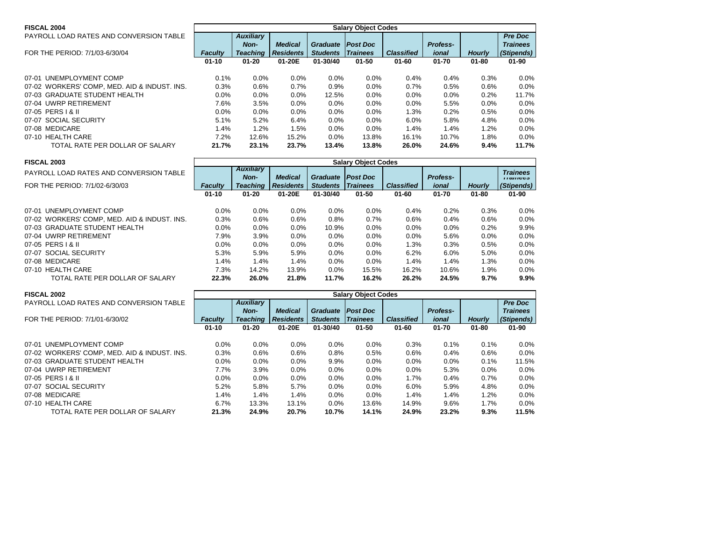| <b>FISCAL 2004</b>                           | <b>Salary Object Codes</b> |                  |                  |                 |                 |                   |                 |               |                 |  |  |
|----------------------------------------------|----------------------------|------------------|------------------|-----------------|-----------------|-------------------|-----------------|---------------|-----------------|--|--|
| PAYROLL LOAD RATES AND CONVERSION TABLE      |                            | <b>Auxiliary</b> |                  |                 |                 |                   |                 |               | <b>Pre Doc</b>  |  |  |
|                                              |                            | Non-             | <b>Medical</b>   | <b>Graduate</b> | <b>Post Doc</b> |                   | <b>Profess-</b> |               | <b>Trainees</b> |  |  |
| FOR THE PERIOD: 7/1/03-6/30/04               | <b>Faculty</b>             | <b>Teaching</b>  | <b>Residents</b> | <b>Students</b> | <b>Trainees</b> | <b>Classified</b> | ional           | <b>Hourly</b> | (Stipends)      |  |  |
|                                              | $01 - 10$                  | $01 - 20$        | 01-20E           | $01 - 30/40$    | $01 - 50$       | $01 - 60$         | $01 - 70$       | $01 - 80$     | $01 - 90$       |  |  |
|                                              |                            |                  |                  |                 |                 |                   |                 |               |                 |  |  |
| 07-01 UNEMPLOYMENT COMP                      | 0.1%                       | 0.0%             | $0.0\%$          | $0.0\%$         | 0.0%            | 0.4%              | 0.4%            | 0.3%          | $0.0\%$         |  |  |
| 07-02 WORKERS' COMP, MED. AID & INDUST. INS. | 0.3%                       | 0.6%             | 0.7%             | 0.9%            | 0.0%            | 0.7%              | 0.5%            | 0.6%          | $0.0\%$         |  |  |
| 07-03 GRADUATE STUDENT HEALTH                | 0.0%                       | $0.0\%$          | $0.0\%$          | 12.5%           | $0.0\%$         | $0.0\%$           | 0.0%            | 0.2%          | 11.7%           |  |  |
| 07-04 UWRP RETIREMENT                        | 7.6%                       | 3.5%             | $0.0\%$          | $0.0\%$         | $0.0\%$         | $0.0\%$           | 5.5%            | $0.0\%$       | $0.0\%$         |  |  |
| 07-05 PERS   & II                            | 0.0%                       | $0.0\%$          | $0.0\%$          | $0.0\%$         | 0.0%            | 1.3%              | 0.2%            | 0.5%          | 0.0%            |  |  |
| 07-07 SOCIAL SECURITY                        | 5.1%                       | 5.2%             | 6.4%             | $0.0\%$         | 0.0%            | 6.0%              | 5.8%            | 4.8%          | $0.0\%$         |  |  |
| 07-08 MEDICARE                               | 1.4%                       | 1.2%             | 1.5%             | $0.0\%$         | 0.0%            | 1.4%              | 1.4%            | 1.2%          | $0.0\%$         |  |  |
| 07-10 HEALTH CARE                            | 7.2%                       | 12.6%            | 15.2%            | $0.0\%$         | 13.8%           | 16.1%             | 10.7%           | 1.8%          | $0.0\%$         |  |  |
| TOTAL RATE PER DOLLAR OF SALARY              | 21.7%                      | 23.1%            | 23.7%            | 13.4%           | 13.8%           | 26.0%             | 24.6%           | 9.4%          | 11.7%           |  |  |

| <b>FISCAL 2003</b>                           | <b>Salary Object Codes</b> |                  |                  |                 |                  |                   |                 |               |                 |  |  |  |
|----------------------------------------------|----------------------------|------------------|------------------|-----------------|------------------|-------------------|-----------------|---------------|-----------------|--|--|--|
| PAYROLL LOAD RATES AND CONVERSION TABLE      |                            | <b>Auxiliary</b> |                  |                 |                  |                   |                 |               | <b>Trainees</b> |  |  |  |
|                                              |                            | Non-             | <b>Medical</b>   | <b>Graduate</b> | <b>IPost Doc</b> |                   | <b>Profess-</b> |               | $11$ anico      |  |  |  |
| FOR THE PERIOD: 7/1/02-6/30/03               | <b>Faculty</b>             | <b>Teaching</b>  | <b>Residents</b> | <b>Students</b> | <b>Trainees</b>  | <b>Classified</b> | ional           | <b>Hourly</b> | (Stipends)      |  |  |  |
|                                              | $01 - 10$                  | $01 - 20$        | 01-20E           | 01-30/40        | $01 - 50$        | $01 - 60$         | $01 - 70$       | $01 - 80$     | $01 - 90$       |  |  |  |
|                                              |                            |                  |                  |                 |                  |                   |                 |               |                 |  |  |  |
| 07-01 UNEMPLOYMENT COMP                      | $0.0\%$                    | $0.0\%$          | $0.0\%$          | $0.0\%$         | $0.0\%$          | $0.4\%$           | 0.2%            | 0.3%          | $0.0\%$         |  |  |  |
| 07-02 WORKERS' COMP, MED. AID & INDUST. INS. | 0.3%                       | 0.6%             | 0.6%             | 0.8%            | 0.7%             | 0.6%              | 0.4%            | 0.6%          | 0.0%            |  |  |  |
| 07-03 GRADUATE STUDENT HEALTH                | $0.0\%$                    | $0.0\%$          | $0.0\%$          | 10.9%           | 0.0%             | $0.0\%$           | $0.0\%$         | 0.2%          | $9.9\%$         |  |  |  |
| 07-04 UWRP RETIREMENT                        | 7.9%                       | 3.9%             | 0.0%             | $0.0\%$         | 0.0%             | $0.0\%$           | 5.6%            | 0.0%          | 0.0%            |  |  |  |
| 07-05 PERS   & II                            | $0.0\%$                    | $0.0\%$          | $0.0\%$          | $0.0\%$         | 0.0%             | 1.3%              | 0.3%            | 0.5%          | $0.0\%$         |  |  |  |
| 07-07 SOCIAL SECURITY                        | 5.3%                       | 5.9%             | 5.9%             | $0.0\%$         | 0.0%             | 6.2%              | 6.0%            | 5.0%          | $0.0\%$         |  |  |  |
| 07-08 MEDICARE                               | 1.4%                       | 1.4%             | 1.4%             | $0.0\%$         | $0.0\%$          | 1.4%              | 1.4%            | 1.3%          | $0.0\%$         |  |  |  |
| 07-10 HEALTH CARE                            | 7.3%                       | 14.2%            | 13.9%            | $0.0\%$         | 15.5%            | 16.2%             | 10.6%           | 1.9%          | $0.0\%$         |  |  |  |
| TOTAL RATE PER DOLLAR OF SALARY              | 22.3%                      | 26.0%            | 21.8%            | 11.7%           | 16.2%            | 26.2%             | 24.5%           | 9.7%          | $9.9\%$         |  |  |  |

| <b>FISCAL 2002</b>                           | <b>Salary Object Codes</b> |                  |                  |                 |                 |                   |                 |               |                 |  |  |
|----------------------------------------------|----------------------------|------------------|------------------|-----------------|-----------------|-------------------|-----------------|---------------|-----------------|--|--|
| PAYROLL LOAD RATES AND CONVERSION TABLE      |                            | <b>Auxiliary</b> |                  |                 |                 |                   |                 |               | <b>Pre Doc</b>  |  |  |
|                                              |                            | Non-             | <b>Medical</b>   | <b>Graduate</b> | <b>Post Doc</b> |                   | <b>Profess-</b> |               | <b>Trainees</b> |  |  |
| FOR THE PERIOD: 7/1/01-6/30/02               | <b>Faculty</b>             | <b>Teaching</b>  | <b>Residents</b> | <b>Students</b> | <b>Trainees</b> | <b>Classified</b> | ional           | <b>Hourly</b> | (Stipends)      |  |  |
|                                              | $01 - 10$                  | $01 - 20$        | 01-20E           | $01 - 30/40$    | $01 - 50$       | $01 - 60$         | $01 - 70$       | $01 - 80$     | $01 - 90$       |  |  |
|                                              |                            |                  |                  |                 |                 |                   |                 |               |                 |  |  |
| 07-01 UNEMPLOYMENT COMP                      | 0.0%                       | $0.0\%$          | 0.0%             | $0.0\%$         | 0.0%            | 0.3%              | 0.1%            | $0.1\%$       | $0.0\%$         |  |  |
| 07-02 WORKERS' COMP, MED. AID & INDUST. INS. | 0.3%                       | 0.6%             | 0.6%             | 0.8%            | 0.5%            | 0.6%              | 0.4%            | $0.6\%$       | $0.0\%$         |  |  |
| 07-03 GRADUATE STUDENT HEALTH                | 0.0%                       | $0.0\%$          | 0.0%             | 9.9%            | $0.0\%$         | 0.0%              | $0.0\%$         | 0.1%          | 11.5%           |  |  |
| 07-04 UWRP RETIREMENT                        | 7.7%                       | 3.9%             | $0.0\%$          | $0.0\%$         | $0.0\%$         | 0.0%              | 5.3%            | $0.0\%$       | $0.0\%$         |  |  |
| 07-05 PERS   & II                            | $0.0\%$                    | $0.0\%$          | $0.0\%$          | $0.0\%$         | $0.0\%$         | 1.7%              | 0.4%            | 0.7%          | $0.0\%$         |  |  |
| 07-07 SOCIAL SECURITY                        | 5.2%                       | 5.8%             | 5.7%             | $0.0\%$         | $0.0\%$         | $6.0\%$           | 5.9%            | 4.8%          | $0.0\%$         |  |  |
| 07-08 MEDICARE                               | 1.4%                       | 1.4%             | 1.4%             | 0.0%            | $0.0\%$         | 1.4%              | 1.4%            | 1.2%          | $0.0\%$         |  |  |
| 07-10 HEALTH CARE                            | 6.7%                       | 13.3%            | 13.1%            | $0.0\%$         | 13.6%           | 14.9%             | 9.6%            | 1.7%          | $0.0\%$         |  |  |
| TOTAL RATE PER DOLLAR OF SALARY              | 21.3%                      | 24.9%            | 20.7%            | 10.7%           | 14.1%           | 24.9%             | 23.2%           | 9.3%          | 11.5%           |  |  |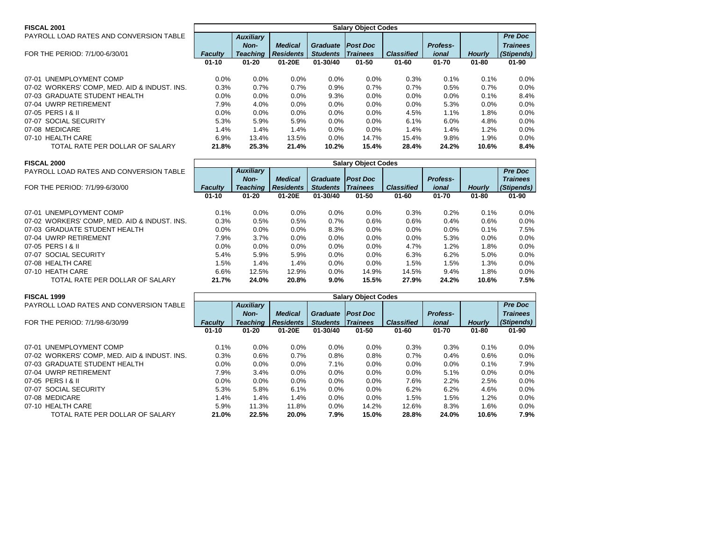| <b>FISCAL 2001</b>                           |                | <b>Salary Object Codes</b> |                  |                 |                 |                   |                 |               |                 |  |  |  |
|----------------------------------------------|----------------|----------------------------|------------------|-----------------|-----------------|-------------------|-----------------|---------------|-----------------|--|--|--|
| PAYROLL LOAD RATES AND CONVERSION TABLE      |                | <b>Auxiliary</b>           |                  |                 |                 |                   |                 |               | <b>Pre Doc</b>  |  |  |  |
|                                              |                | Non-                       | <b>Medical</b>   | <b>Graduate</b> | <b>Post Doc</b> |                   | <b>Profess-</b> |               | <b>Trainees</b> |  |  |  |
| FOR THE PERIOD: 7/1/00-6/30/01               | <b>Faculty</b> | <b>Teaching</b>            | <b>Residents</b> | <b>Students</b> | <i>Trainees</i> | <b>Classified</b> | ional           | <b>Hourly</b> | (Stipends)      |  |  |  |
|                                              | $01 - 10$      | $01 - 20$                  | 01-20E           | 01-30/40        | $01 - 50$       | $01 - 60$         | $01 - 70$       | $01 - 80$     | $01 - 90$       |  |  |  |
| 07-01 UNEMPLOYMENT COMP                      | $0.0\%$        | $0.0\%$                    | 0.0%             | $0.0\%$         | $0.0\%$         | 0.3%              | 0.1%            | 0.1%          | $0.0\%$         |  |  |  |
| 07-02 WORKERS' COMP, MED. AID & INDUST. INS. | 0.3%           | 0.7%                       | 0.7%             | 0.9%            | 0.7%            | 0.7%              | 0.5%            | 0.7%          | $0.0\%$         |  |  |  |
| 07-03 GRADUATE STUDENT HEALTH                | 0.0%           | $0.0\%$                    | $0.0\%$          | 9.3%            | $0.0\%$         | $0.0\%$           | 0.0%            | 0.1%          | 8.4%            |  |  |  |
| 07-04 UWRP RETIREMENT                        | 7.9%           | 4.0%                       | 0.0%             | 0.0%            | $0.0\%$         | $0.0\%$           | 5.3%            | 0.0%          | $0.0\%$         |  |  |  |
| 07-05 PERS 1 & II                            | $0.0\%$        | $0.0\%$                    | $0.0\%$          | $0.0\%$         | $0.0\%$         | 4.5%              | 1.1%            | 1.8%          | $0.0\%$         |  |  |  |
| 07-07 SOCIAL SECURITY                        | 5.3%           | 5.9%                       | 5.9%             | $0.0\%$         | $0.0\%$         | 6.1%              | 6.0%            | 4.8%          | $0.0\%$         |  |  |  |
| 07-08 MEDICARE                               | $1.4\%$        | 1.4%                       | 1.4%             | 0.0%            | $0.0\%$         | 1.4%              | 1.4%            | 1.2%          | $0.0\%$         |  |  |  |
| 07-10 HEALTH CARE                            | 6.9%           | 13.4%                      | 13.5%            | $0.0\%$         | 14.7%           | 15.4%             | 9.8%            | $1.9\%$       | $0.0\%$         |  |  |  |
| TOTAL RATE PER DOLLAR OF SALARY              | 21.8%          | 25.3%                      | 21.4%            | 10.2%           | 15.4%           | 28.4%             | 24.2%           | 10.6%         | 8.4%            |  |  |  |

| <b>FISCAL 2000</b>                           |                | <b>Salary Object Codes</b> |                  |                 |                 |                   |                 |               |                 |  |  |  |
|----------------------------------------------|----------------|----------------------------|------------------|-----------------|-----------------|-------------------|-----------------|---------------|-----------------|--|--|--|
| PAYROLL LOAD RATES AND CONVERSION TABLE      |                | <b>Auxiliary</b>           |                  |                 |                 |                   |                 |               | <b>Pre Doc</b>  |  |  |  |
|                                              |                | Non-                       | <b>Medical</b>   | <b>Graduate</b> | <b>Post Doc</b> |                   | <b>Profess-</b> |               | <b>Trainees</b> |  |  |  |
| FOR THE PERIOD: 7/1/99-6/30/00               | <b>Faculty</b> | <b>Teaching</b>            | <b>Residents</b> | <b>Students</b> | <b>Trainees</b> | <b>Classified</b> | ional           | <b>Hourly</b> | (Stipends)      |  |  |  |
|                                              | $01 - 10$      | $01 - 20$                  | 01-20E           | 01-30/40        | $01 - 50$       | $01 - 60$         | $01 - 70$       | $01 - 80$     | $01 - 90$       |  |  |  |
|                                              |                |                            |                  |                 |                 |                   |                 |               |                 |  |  |  |
| 07-01 UNEMPLOYMENT COMP                      | 0.1%           | 0.0%                       | $0.0\%$          | $0.0\%$         | $0.0\%$         | 0.3%              | 0.2%            | 0.1%          | $0.0\%$         |  |  |  |
| 07-02 WORKERS' COMP, MED. AID & INDUST. INS. | 0.3%           | 0.5%                       | 0.5%             | 0.7%            | 0.6%            | 0.6%              | 0.4%            | 0.6%          | $0.0\%$         |  |  |  |
| 07-03 GRADUATE STUDENT HEALTH                | $0.0\%$        | $0.0\%$                    | 0.0%             | 8.3%            | $0.0\%$         | $0.0\%$           | 0.0%            | 0.1%          | 7.5%            |  |  |  |
| 07-04 UWRP RETIREMENT                        | 7.9%           | 3.7%                       | $0.0\%$          | 0.0%            | $0.0\%$         | $0.0\%$           | 5.3%            | 0.0%          | $0.0\%$         |  |  |  |
| 07-05 PERS   & II                            | $0.0\%$        | $0.0\%$                    | $0.0\%$          | $0.0\%$         | $0.0\%$         | 4.7%              | 1.2%            | 1.8%          | $0.0\%$         |  |  |  |
| 07-07 SOCIAL SECURITY                        | 5.4%           | 5.9%                       | 5.9%             | $0.0\%$         | $0.0\%$         | 6.3%              | 6.2%            | 5.0%          | $0.0\%$         |  |  |  |
| 07-08 HEALTH CARE                            | 1.5%           | 1.4%                       | 1.4%             | 0.0%            | $0.0\%$         | 1.5%              | 1.5%            | 1.3%          | $0.0\%$         |  |  |  |
| 07-10 HEATH CARE                             | 6.6%           | 12.5%                      | 12.9%            | $0.0\%$         | 14.9%           | 14.5%             | 9.4%            | 1.8%          | $0.0\%$         |  |  |  |
| TOTAL RATE PER DOLLAR OF SALARY              | 21.7%          | 24.0%                      | 20.8%            | $9.0\%$         | 15.5%           | 27.9%             | 24.2%           | 10.6%         | 7.5%            |  |  |  |

| <b>FISCAL 1999</b>                           | <b>Salary Object Codes</b> |                  |                  |                 |                 |                   |                 |               |                 |  |  |
|----------------------------------------------|----------------------------|------------------|------------------|-----------------|-----------------|-------------------|-----------------|---------------|-----------------|--|--|
| PAYROLL LOAD RATES AND CONVERSION TABLE      |                            | <b>Auxiliary</b> |                  |                 |                 |                   |                 |               | <b>Pre Doc</b>  |  |  |
|                                              |                            | Non-             | <b>Medical</b>   | <b>Graduate</b> | <b>Post Doc</b> |                   | <b>Profess-</b> |               | <b>Trainees</b> |  |  |
| FOR THE PERIOD: 7/1/98-6/30/99               | <b>Faculty</b>             | <b>Teaching</b>  | <b>Residents</b> | <b>Students</b> | <b>Trainees</b> | <b>Classified</b> | ional           | <b>Hourly</b> | (Stipends)      |  |  |
|                                              | $01 - 10$                  | $01 - 20$        | 01-20E           | 01-30/40        | $01 - 50$       | $01 - 60$         | $01 - 70$       | $01 - 80$     | $01 - 90$       |  |  |
|                                              |                            |                  |                  |                 |                 |                   |                 |               |                 |  |  |
| UNEMPLOYMENT COMP<br>07-01                   | 0.1%                       | $0.0\%$          | $0.0\%$          | $0.0\%$         | 0.0%            | 0.3%              | 0.3%            | 0.1%          | $0.0\%$         |  |  |
| 07-02 WORKERS' COMP, MED. AID & INDUST. INS. | 0.3%                       | 0.6%             | 0.7%             | 0.8%            | 0.8%            | 0.7%              | 0.4%            | 0.6%          | $0.0\%$         |  |  |
| 07-03 GRADUATE STUDENT HEALTH                | 0.0%                       | $0.0\%$          | $0.0\%$          | 7.1%            | $0.0\%$         | 0.0%              | 0.0%            | 0.1%          | 7.9%            |  |  |
| 07-04 UWRP RETIREMENT                        | 7.9%                       | 3.4%             | $0.0\%$          | 0.0%            | $0.0\%$         | 0.0%              | 5.1%            | $0.0\%$       | $0.0\%$         |  |  |
| 07-05 PERS   & II                            | 0.0%                       | 0.0%             | $0.0\%$          | 0.0%            | $0.0\%$         | 7.6%              | 2.2%            | 2.5%          | $0.0\%$         |  |  |
| 07-07 SOCIAL SECURITY                        | 5.3%                       | 5.8%             | 6.1%             | $0.0\%$         | 0.0%            | 6.2%              | 6.2%            | 4.6%          | $0.0\%$         |  |  |
| 07-08 MEDICARE                               | 1.4%                       | 1.4%             | 1.4%             | $0.0\%$         | 0.0%            | 1.5%              | 1.5%            | 1.2%          | $0.0\%$         |  |  |
| 07-10 HEALTH CARE                            | 5.9%                       | 11.3%            | 11.8%            | $0.0\%$         | 14.2%           | 12.6%             | 8.3%            | 1.6%          | $0.0\%$         |  |  |
| TOTAL RATE PER DOLLAR OF SALARY              | 21.0%                      | 22.5%            | 20.0%            | 7.9%            | 15.0%           | 28.8%             | 24.0%           | 10.6%         | 7.9%            |  |  |